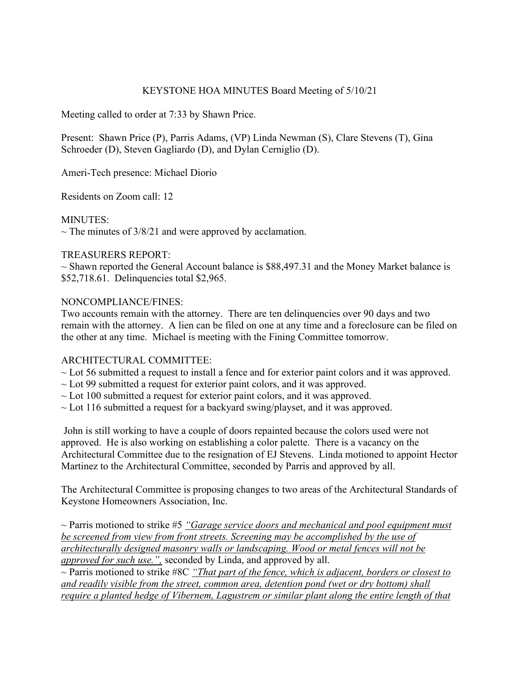# KEYSTONE HOA MINUTES Board Meeting of 5/10/21

Meeting called to order at 7:33 by Shawn Price.

Present: Shawn Price (P), Parris Adams, (VP) Linda Newman (S), Clare Stevens (T), Gina Schroeder (D), Steven Gagliardo (D), and Dylan Cerniglio (D).

Ameri-Tech presence: Michael Diorio

Residents on Zoom call: 12

MINUTES:

 $\sim$  The minutes of 3/8/21 and were approved by acclamation.

#### TREASURERS REPORT:

 $\sim$  Shawn reported the General Account balance is \$88,497.31 and the Money Market balance is \$52,718.61. Delinquencies total \$2,965.

#### NONCOMPLIANCE/FINES:

Two accounts remain with the attorney. There are ten delinquencies over 90 days and two remain with the attorney. A lien can be filed on one at any time and a foreclosure can be filed on the other at any time. Michael is meeting with the Fining Committee tomorrow.

# ARCHITECTURAL COMMITTEE:

- ~ Lot 56 submitted a request to install a fence and for exterior paint colors and it was approved.
- $\sim$  Lot 99 submitted a request for exterior paint colors, and it was approved.
- $\sim$  Lot 100 submitted a request for exterior paint colors, and it was approved.
- $\sim$  Lot 116 submitted a request for a backyard swing/playset, and it was approved.

John is still working to have a couple of doors repainted because the colors used were not approved. He is also working on establishing a color palette. There is a vacancy on the Architectural Committee due to the resignation of EJ Stevens. Linda motioned to appoint Hector Martinez to the Architectural Committee, seconded by Parris and approved by all.

The Architectural Committee is proposing changes to two areas of the Architectural Standards of Keystone Homeowners Association, Inc.

~ Parris motioned to strike #5 *"Garage service doors and mechanical and pool equipment must be screened from view from front streets. Screening may be accomplished by the use of architecturally designed masonry walls or landscaping. Wood or metal fences will not be approved for such use.",* seconded by Linda, and approved by all.

~ Parris motioned to strike #8C *"That part of the fence, which is adjacent, borders or closest to and readily visible from the street, common area, detention pond (wet or dry bottom) shall require a planted hedge of Vibernem, Lagustrem or similar plant along the entire length of that*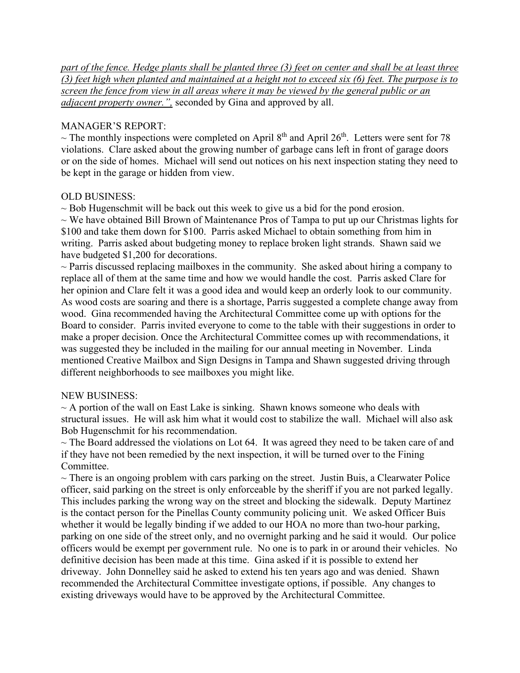*part of the fence. Hedge plants shall be planted three (3) feet on center and shall be at least three (3) feet high when planted and maintained at a height not to exceed six (6) feet. The purpose is to screen the fence from view in all areas where it may be viewed by the general public or an adjacent property owner.",* seconded by Gina and approved by all.

### MANAGER'S REPORT:

 $\sim$  The monthly inspections were completed on April 8<sup>th</sup> and April 26<sup>th</sup>. Letters were sent for 78 violations. Clare asked about the growing number of garbage cans left in front of garage doors or on the side of homes. Michael will send out notices on his next inspection stating they need to be kept in the garage or hidden from view.

# OLD BUSINESS:

 $\sim$  Bob Hugenschmit will be back out this week to give us a bid for the pond erosion.

 $\sim$  We have obtained Bill Brown of Maintenance Pros of Tampa to put up our Christmas lights for \$100 and take them down for \$100. Parris asked Michael to obtain something from him in writing. Parris asked about budgeting money to replace broken light strands. Shawn said we have budgeted \$1,200 for decorations.

 $\sim$  Parris discussed replacing mailboxes in the community. She asked about hiring a company to replace all of them at the same time and how we would handle the cost. Parris asked Clare for her opinion and Clare felt it was a good idea and would keep an orderly look to our community. As wood costs are soaring and there is a shortage, Parris suggested a complete change away from wood. Gina recommended having the Architectural Committee come up with options for the Board to consider. Parris invited everyone to come to the table with their suggestions in order to make a proper decision. Once the Architectural Committee comes up with recommendations, it was suggested they be included in the mailing for our annual meeting in November. Linda mentioned Creative Mailbox and Sign Designs in Tampa and Shawn suggested driving through different neighborhoods to see mailboxes you might like.

#### NEW BUSINESS:

 $\sim$  A portion of the wall on East Lake is sinking. Shawn knows someone who deals with structural issues. He will ask him what it would cost to stabilize the wall. Michael will also ask Bob Hugenschmit for his recommendation.

 $\sim$  The Board addressed the violations on Lot 64. It was agreed they need to be taken care of and if they have not been remedied by the next inspection, it will be turned over to the Fining Committee.

 $\sim$  There is an ongoing problem with cars parking on the street. Justin Buis, a Clearwater Police officer, said parking on the street is only enforceable by the sheriff if you are not parked legally. This includes parking the wrong way on the street and blocking the sidewalk. Deputy Martinez is the contact person for the Pinellas County community policing unit. We asked Officer Buis whether it would be legally binding if we added to our HOA no more than two-hour parking, parking on one side of the street only, and no overnight parking and he said it would. Our police officers would be exempt per government rule. No one is to park in or around their vehicles. No definitive decision has been made at this time. Gina asked if it is possible to extend her driveway. John Donnelley said he asked to extend his ten years ago and was denied. Shawn recommended the Architectural Committee investigate options, if possible. Any changes to existing driveways would have to be approved by the Architectural Committee.